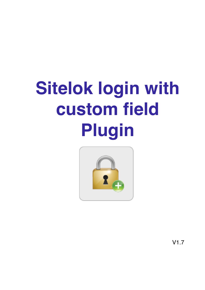# **Sitelok login with** custom field **Plugin**



 $V1.7$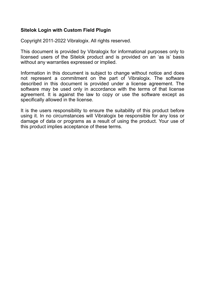#### **Sitelok Login with Custom Field Plugin**

Copyright 2011-2022 Vibralogix. All rights reserved.

This document is provided by Vibralogix for informational purposes only to licensed users of the Sitelok product and is provided on an 'as is' basis without any warranties expressed or implied.

Information in this document is subject to change without notice and does not represent a commitment on the part of Vibralogix. The software described in this document is provided under a license agreement. The software may be used only in accordance with the terms of that license agreement. It is against the law to copy or use the software except as specifically allowed in the license.

It is the users responsibility to ensure the suitability of this product before using it. In no circumstances will Vibralogix be responsible for any loss or damage of data or programs as a result of using the product. Your use of this product implies acceptance of these terms.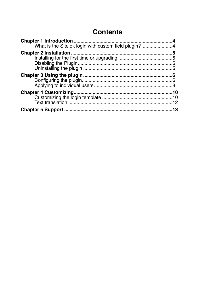## **Contents**

| What is the Sitelok login with custom field plugin?4 |  |
|------------------------------------------------------|--|
|                                                      |  |
|                                                      |  |
|                                                      |  |
|                                                      |  |
|                                                      |  |
|                                                      |  |
|                                                      |  |
|                                                      |  |
|                                                      |  |
|                                                      |  |
|                                                      |  |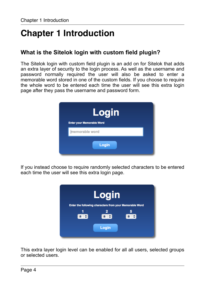# <span id="page-3-0"></span>**Chapter 1 Introduction**

## <span id="page-3-1"></span>**What is the Sitelok login with custom field plugin?**

The Sitelok login with custom field plugin is an add on for Sitelok that adds an extra layer of security to the login process. As well as the username and password normally required the user will also be asked to enter a memorable word stored in one of the custom fields. If you choose to require the whole word to be entered each time the user will see this extra login page after they pass the username and password form.



If you instead choose to require randomly selected characters to be entered each time the user will see this extra login page.



This extra layer login level can be enabled for all all users, selected groups or selected users.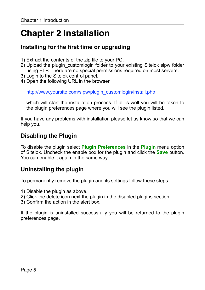# <span id="page-4-0"></span>**Chapter 2 Installation**

## <span id="page-4-1"></span>**Installing for the first time or upgrading**

- 1) Extract the contents of the zip file to your PC.
- 2) Upload the plugin\_customlogin folder to your existing Sitelok slpw folder using FTP. There are no special permissions required on most servers.
- 3) Login to the Sitelok control panel.
- 4) Open the following URL in the browser

http://www.yoursite.com/slpw/plugin\_customlogin/install.php

which will start the installation process. If all is well you will be taken to the plugin preferences page where you will see the plugin listed.

If you have any problems with installation please let us know so that we can help you.

## <span id="page-4-2"></span>**Disabling the Plugin**

To disable the plugin select **Plugin Preferences** in the **Plugin** menu option of Sitelok. Uncheck the enable box for the plugin and click the **Save** button. You can enable it again in the same way.

## <span id="page-4-3"></span>**Uninstalling the plugin**

To permanently remove the plugin and its settings follow these steps.

- 1) Disable the plugin as above.
- 2) Click the delete icon next the plugin in the disabled plugins section.
- 3) Confirm the action in the alert box.

If the plugin is uninstalled successfully you will be returned to the plugin preferences page.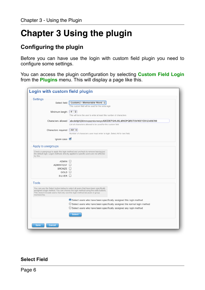# <span id="page-5-0"></span>**Chapter 3 Using the plugin**

## <span id="page-5-1"></span>**Configuring the plugin**

Before you can have use the login with custom field plugin you need to configure some settings.

You can access the plugin configuration by selecting **Custom Field Login** from the **Plugins** menu. This will display a page like this.

| Settings                                                                                   |                                                                                                                                                                          |
|--------------------------------------------------------------------------------------------|--------------------------------------------------------------------------------------------------------------------------------------------------------------------------|
| Select field                                                                               | Custom2 - Memorable Word $\frac{4}{7}$                                                                                                                                   |
|                                                                                            | This custom field will be used for the extra login                                                                                                                       |
| Minimum length                                                                             | $4 \div$                                                                                                                                                                 |
|                                                                                            | This will force the user to enter at least this number of characters                                                                                                     |
| Characters allowed                                                                         | abcdefghijklmnopgrstuvwxyzABCDEFGHIJKLMNOPQRSTUVWXYZ0123456789                                                                                                           |
|                                                                                            | List all characters allowed to be used for the custom field                                                                                                              |
| Characters required                                                                        | $AII \div$                                                                                                                                                               |
|                                                                                            | Number of characters user must enter to login. Select All for text field.                                                                                                |
| Ignore case                                                                                |                                                                                                                                                                          |
|                                                                                            |                                                                                                                                                                          |
| Apply to usergroups                                                                        |                                                                                                                                                                          |
| by this.                                                                                   | Check a usergroup to apply this login method and uncheck to remove leaving just<br>the default login. Logon methods directly applied to specific users are not affected  |
| ADMIN <sup>2</sup>                                                                         |                                                                                                                                                                          |
| ADMINTEST <b>D</b>                                                                         |                                                                                                                                                                          |
| BRONZE <b>D</b>                                                                            |                                                                                                                                                                          |
| GOLD $\Box$                                                                                |                                                                                                                                                                          |
| $SILVER$ $\Box$                                                                            |                                                                                                                                                                          |
| Tools                                                                                      |                                                                                                                                                                          |
| This doesn't include users that only use this login method because of group<br>membership. | You can use the Select button below to select all users that have been specifically<br>assigned a login method. You can choose the login method using the radio buttons. |
|                                                                                            | Select users who have been specifically assigned this login method                                                                                                       |
|                                                                                            | $\bigcirc$ Select users who have been specifically assigned the normal login method                                                                                      |
|                                                                                            | ○ Select users who have been specifically assigned any login method                                                                                                      |
|                                                                                            | <b>Select</b>                                                                                                                                                            |
|                                                                                            |                                                                                                                                                                          |

#### **Select Field**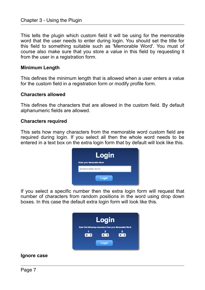This tells the plugin which custom field it will be using for the memorable word that the user needs to enter during login. You should set the title for this field to something suitable such as 'Memorable Word'. You must of course also make sure that you store a value in this field by requesting it from the user in a registration form.

#### **Minimum Length**

This defines the minimum length that is allowed when a user enters a value for the custom field in a registration form or modify profile form.

#### **Characters allowed**

This defines the characters that are allowed in the custom field. By default alphanumeric fields are allowed.

#### **Characters required**

This sets how many characters from the memorable word custom field are required during login. If you select all then the whole word needs to be entered in a text box on the extra login form that by default will look like this.

If you select a specific number then the extra login form will request that number of characters from random positions in the word using drop down boxes. In this case the default extra login form will look like this.



#### **Ignore case**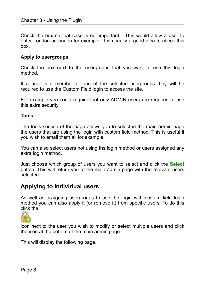Check the box so that case is not important. This would allow a user to enter London or london for example. It is usually a good idea to check this box.

#### **Apply to usergroups**

Check the box next to the usergroups that you want to use this login method.

If a user is a member of one of the selected usergroups they will be required to use the Custom Field login to access the site.

For example you could require that only ADMIN users are required to use this extra security.

#### **Tools**

The tools section of the page allows you to select in the main admin page the users that are using the login with custom field method. This is useful if you wish to email them all for example.

You can also select users not using ths login method or users assigned any extra login method.

Just choose which group of users you want to select and click the **Select** button. This will return you to the main admin page with the relevant users selected.

### <span id="page-7-0"></span>**Applying to individual users**

As well as assigning usergroups to use the login with custom field login method you can also apply it (or remove it) from specific users. To do this click the



icon next to the user you wish to modify or select multiple users and click the icon at the bottom of the main admin page.

This will display the following page.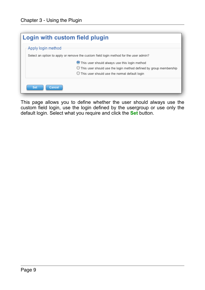| Login with custom field plugin |                                                                                       |  |  |
|--------------------------------|---------------------------------------------------------------------------------------|--|--|
|                                | Apply login method                                                                    |  |  |
|                                | Select an option to apply or remove the custom field login method for the user admin? |  |  |
|                                | This user should always use this login method                                         |  |  |
|                                | $\bigcup$ This user should use the login method defined by group membership           |  |  |
|                                | $\bigcirc$ This user should use the normal default login                              |  |  |
|                                | Set<br>Cancel                                                                         |  |  |

This page allows you to define whether the user should always use the custom field login, use the login defined by the usergroup or use only the default login. Select what you require and click the **Set** button.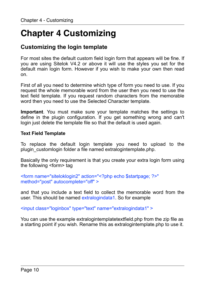## <span id="page-9-0"></span>**Chapter 4 Customizing**

## <span id="page-9-1"></span>**Customizing the login template**

For most sites the default custom field login form that appears will be fine. If you are using Sitelok V4.2 or above it will use the styles you set for the default main login form. However if you wish to make your own then read on.

First of all you need to determine which type of form you need to use. If you request the whole memorable word from the user then you need to use the text field template. If you request random characters from the memorable word then you need to use the Selected Character template.

**Important**. You must make sure your template matches the settings to define in the plugin configuration. If you get something wrong and can't login just delete the template file so that the default is used again.

#### **Text Field Template**

To replace the default login template you need to upload to the plugin\_customlogin folder a file named extralogintemplate.php.

Basically the only requirement is that you create your extra login form using the following <form> tag

<form name="siteloklogin2" action="<?php echo \$startpage; ?>" method="post" autocomplete="off" >

and that you include a text field to collect the memorable word from the user. This should be named extralogindata1. So for example

<input class="loginbox" type="text" name="extralogindata1" >

You can use the example extralogintemplatetextfield.php from the zip file as a starting point if you wish. Rename this as extralogintemplate.php to use it.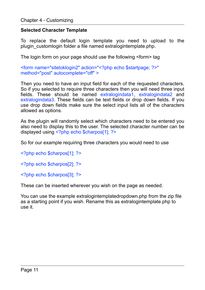#### **Selected Character Template**

To replace the default login template you need to upload to the plugin\_customlogin folder a file named extralogintemplate.php.

The login form on your page should use the following <form> tag

<form name="siteloklogin2" action="<?php echo \$startpage; ?>" method="post" autocomplete="off" >

Then you need to have an input field for each of the requested characters. So if you selected to require three characters then you will need three input fields. These should be named extralogindata1, extralogindata2 and extralogindata3. These fields can be text fields or drop down fields. If you use drop down fields make sure the select input lists all of the characters allowed as options.

As the plugin will randomly select which characters need to be entered you also need to display this to the user. The selected character number can be displayed using <?php echo \$charpos[1]; ?>

So for our example requiring three characters you would need to use

<?php echo \$charpos[1]; ?>

<?php echo \$charpos[2]; ?>

<?php echo \$charpos[3]; ?>

These can be inserted wherever you wish on the page as needed.

You can use the example extralogintemplatedropdown.php from the zip file as a starting point if you wish. Rename this as extralogintemplate.php to use it.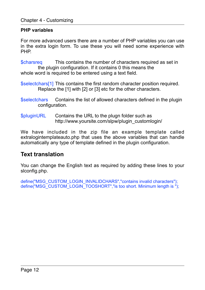#### **PHP variables**

For more advanced users there are a number of PHP variables you can use in the extra login form. To use these you will need some experience with PHP.

\$charsreq This contains the number of characters required as set in the plugin configuration. If it contains 0 this means the whole word is required to be entered using a text field.

- \$selectchars[1] This contains the first random character position required. Replace the [1] with [2] or [3] etc for the other characters.
- \$selectchars Contains the list of allowed characters defined in the plugin configuration.
- \$pluginURL Contains the URL to the plugn folder such as http://www.yoursite.com/slpw/plugin\_customlogin/

We have included in the zip file an example template called extralogintemplateauto.php that uses the above variables that can handle automatically any type of template defined in the plugin configuration.

## <span id="page-11-0"></span>**Text translation**

You can change the English text as required by adding these lines to your slconfig.php.

define("MSG\_CUSTOM\_LOGIN\_INVALIDCHARS","contains invalid characters"); define("MSG\_CUSTOM\_LOGIN\_TOOSHORT","is too short. Minimum length is ");